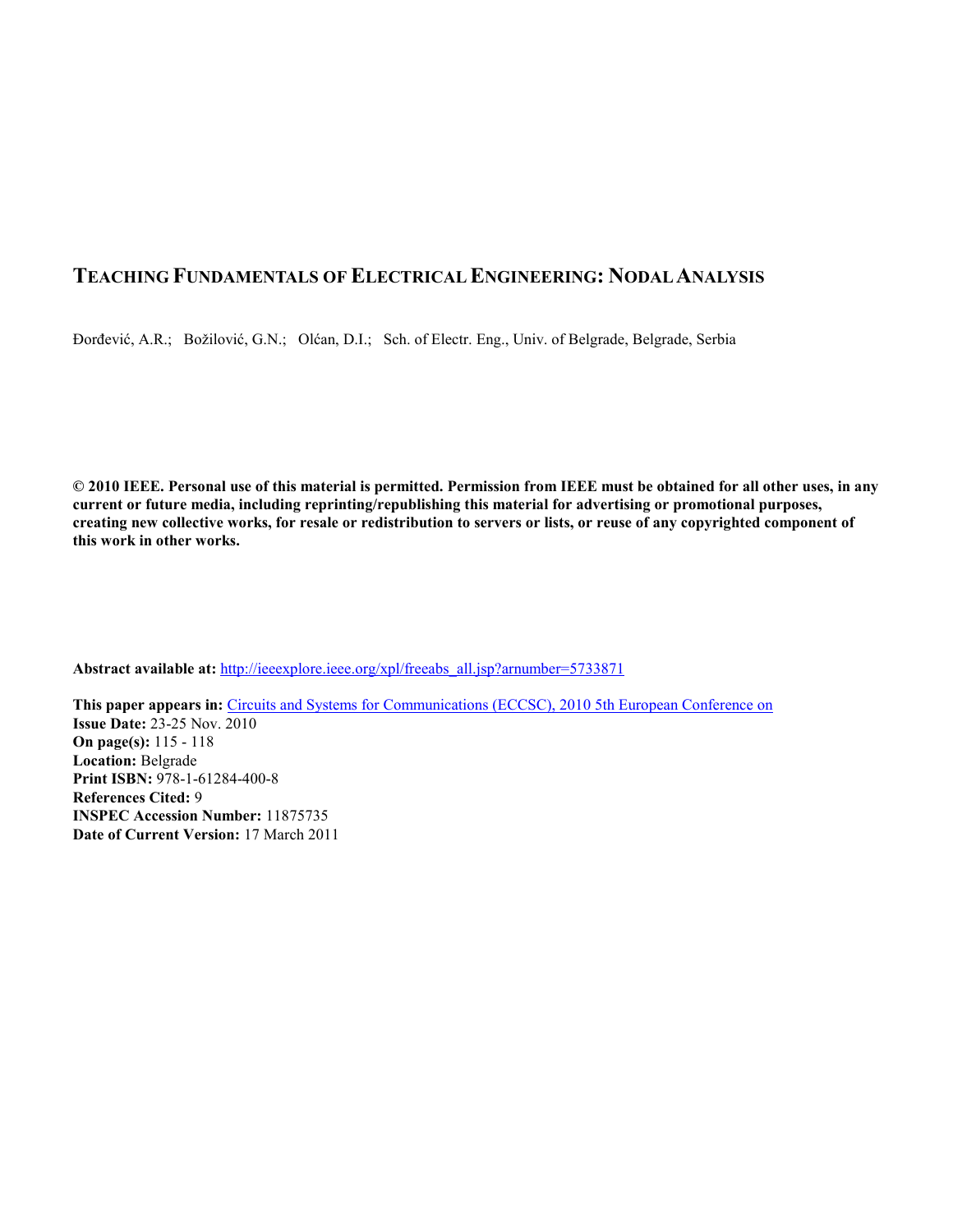# **TEACHING FUNDAMENTALS OF ELECTRICAL ENGINEERING: NODAL ANALYSIS**

Đorđević, A.R.; Božilović, G.N.; Olćan, D.I.; Sch. of Electr. Eng., Univ. of Belgrade, Belgrade, Serbia

**© 2010 IEEE. Personal use of this material is permitted. Permission from IEEE must be obtained for all other uses, in any current or future media, including reprinting/republishing this material for advertising or promotional purposes, creating new collective works, for resale or redistribution to servers or lists, or reuse of any copyrighted component of this work in other works.** 

**Abstract available at:** http://ieeexplore.ieee.org/xpl/freeabs\_all.jsp?arnumber=5733871

**This paper appears in:** Circuits and Systems for Communications (ECCSC), 2010 5th European Conference on **Issue Date:** 23-25 Nov. 2010 **On page(s):** 115 - 118 **Location:** Belgrade **Print ISBN:** 978-1-61284-400-8 **References Cited:** 9 **INSPEC Accession Number:** 11875735 **Date of Current Version:** 17 March 2011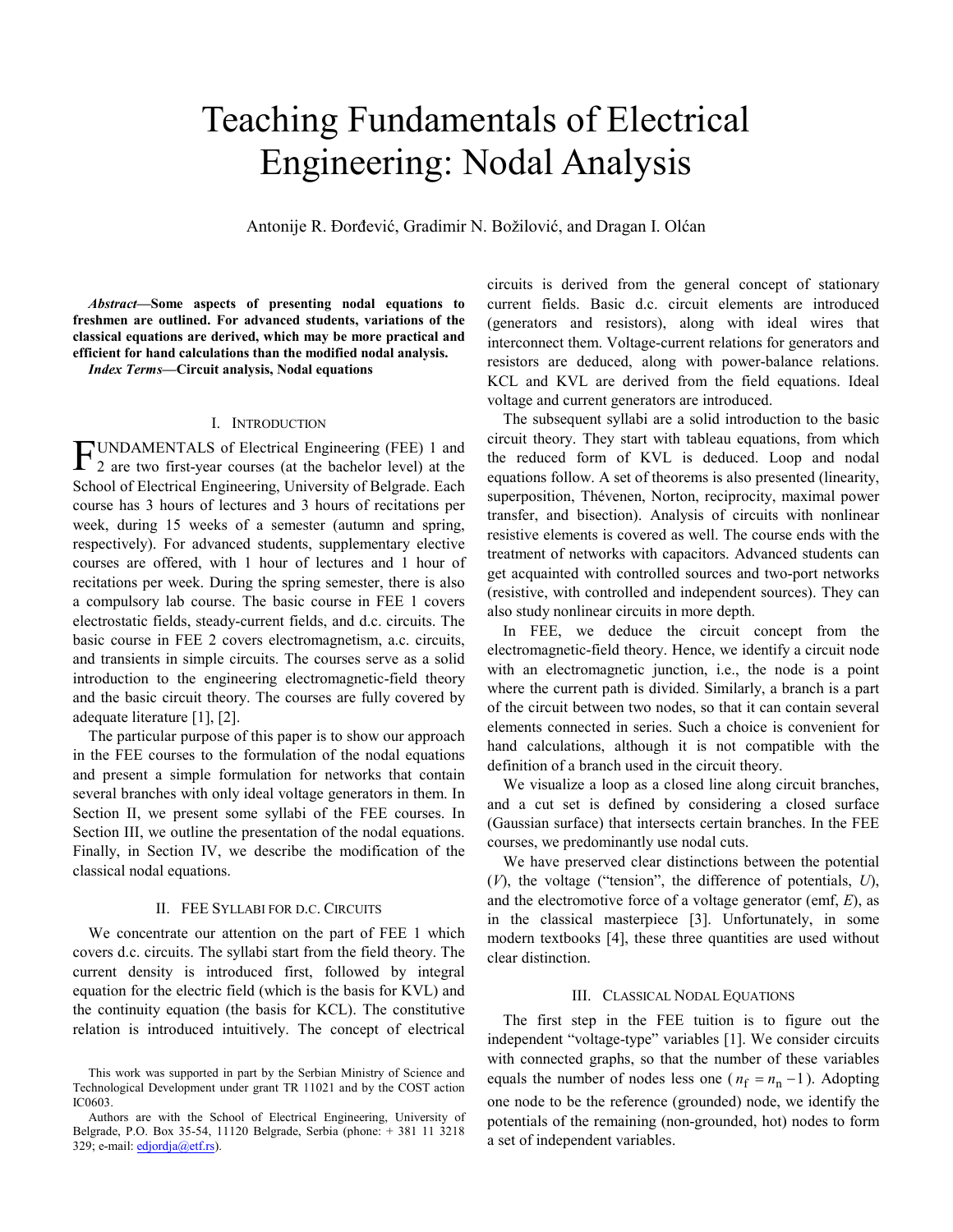# Teaching Fundamentals of Electrical Engineering: Nodal Analysis

Antonije R. Đorđević, Gradimir N. Božilović, and Dragan I. Olćan

*Abstract***—Some aspects of presenting nodal equations to freshmen are outlined. For advanced students, variations of the classical equations are derived, which may be more practical and efficient for hand calculations than the modified nodal analysis.** 

*Index Terms***—Circuit analysis, Nodal equations** 

#### I. INTRODUCTION

UNDAMENTALS of Electrical Engineering (FEE) 1 and FUNDAMENTALS of Electrical Engineering (FEE) 1 and 2 are two first-year courses (at the bachelor level) at the School of Electrical Engineering, University of Belgrade. Each course has 3 hours of lectures and 3 hours of recitations per week, during 15 weeks of a semester (autumn and spring, respectively). For advanced students, supplementary elective courses are offered, with 1 hour of lectures and 1 hour of recitations per week. During the spring semester, there is also a compulsory lab course. The basic course in FEE 1 covers electrostatic fields, steady-current fields, and d.c. circuits. The basic course in FEE 2 covers electromagnetism, a.c. circuits, and transients in simple circuits. The courses serve as a solid introduction to the engineering electromagnetic-field theory and the basic circuit theory. The courses are fully covered by adequate literature [1], [2].

The particular purpose of this paper is to show our approach in the FEE courses to the formulation of the nodal equations and present a simple formulation for networks that contain several branches with only ideal voltage generators in them. In Section II, we present some syllabi of the FEE courses. In Section III, we outline the presentation of the nodal equations. Finally, in Section IV, we describe the modification of the classical nodal equations.

## II. FEE SYLLABI FOR D.C. CIRCUITS

We concentrate our attention on the part of FEE 1 which covers d.c. circuits. The syllabi start from the field theory. The current density is introduced first, followed by integral equation for the electric field (which is the basis for KVL) and the continuity equation (the basis for KCL). The constitutive relation is introduced intuitively. The concept of electrical

circuits is derived from the general concept of stationary current fields. Basic d.c. circuit elements are introduced (generators and resistors), along with ideal wires that interconnect them. Voltage-current relations for generators and resistors are deduced, along with power-balance relations. KCL and KVL are derived from the field equations. Ideal voltage and current generators are introduced.

The subsequent syllabi are a solid introduction to the basic circuit theory. They start with tableau equations, from which the reduced form of KVL is deduced. Loop and nodal equations follow. A set of theorems is also presented (linearity, superposition, Thévenen, Norton, reciprocity, maximal power transfer, and bisection). Analysis of circuits with nonlinear resistive elements is covered as well. The course ends with the treatment of networks with capacitors. Advanced students can get acquainted with controlled sources and two-port networks (resistive, with controlled and independent sources). They can also study nonlinear circuits in more depth.

In FEE, we deduce the circuit concept from the electromagnetic-field theory. Hence, we identify a circuit node with an electromagnetic junction, i.e., the node is a point where the current path is divided. Similarly, a branch is a part of the circuit between two nodes, so that it can contain several elements connected in series. Such a choice is convenient for hand calculations, although it is not compatible with the definition of a branch used in the circuit theory.

We visualize a loop as a closed line along circuit branches, and a cut set is defined by considering a closed surface (Gaussian surface) that intersects certain branches. In the FEE courses, we predominantly use nodal cuts.

We have preserved clear distinctions between the potential (*V*), the voltage ("tension", the difference of potentials, *U*), and the electromotive force of a voltage generator (emf, *E*), as in the classical masterpiece [3]. Unfortunately, in some modern textbooks [4], these three quantities are used without clear distinction.

#### III. CLASSICAL NODAL EQUATIONS

The first step in the FEE tuition is to figure out the independent "voltage-type" variables [1]. We consider circuits with connected graphs, so that the number of these variables equals the number of nodes less one ( $n_f = n_n - 1$ ). Adopting one node to be the reference (grounded) node, we identify the potentials of the remaining (non-grounded, hot) nodes to form a set of independent variables.

This work was supported in part by the Serbian Ministry of Science and Technological Development under grant TR 11021 and by the COST action IC0603.

Authors are with the School of Electrical Engineering, University of Belgrade, P.O. Box 35-54, 11120 Belgrade, Serbia (phone: + 381 11 3218 329; e-mail: edjordja@etf.rs).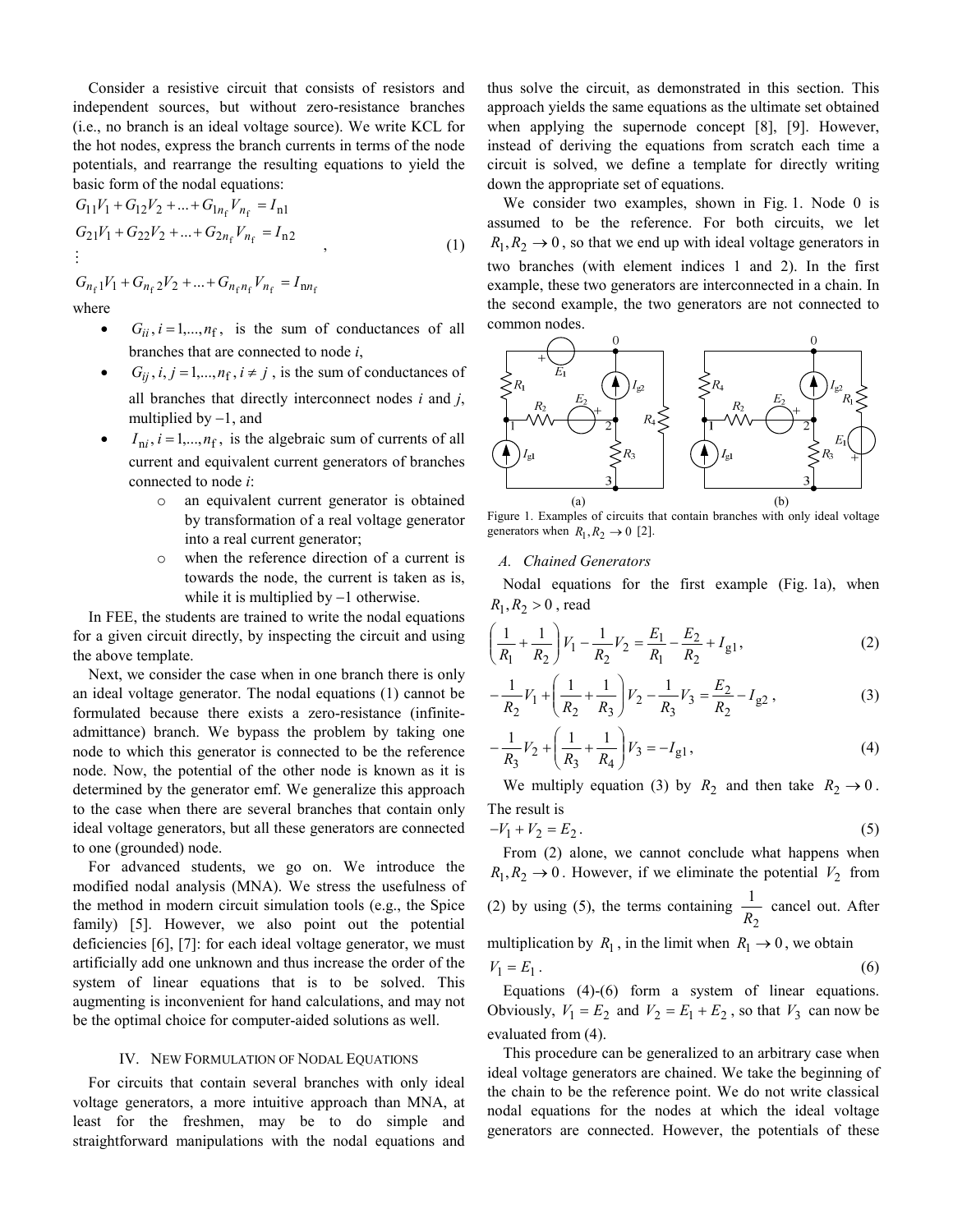Consider a resistive circuit that consists of resistors and independent sources, but without zero-resistance branches (i.e., no branch is an ideal voltage source). We write KCL for the hot nodes, express the branch currents in terms of the node potentials, and rearrange the resulting equations to yield the basic form of the nodal equations:

$$
G_{11}V_1 + G_{12}V_2 + ... + G_{1n_f}V_{n_f} = I_{n1}
$$
  
\n
$$
G_{21}V_1 + G_{22}V_2 + ... + G_{2n_f}V_{n_f} = I_{n2}
$$
  
\n:  
\n
$$
G_{n_f1}V_1 + G_{n_f2}V_2 + ... + G_{n_fn_f}V_{n_f} = I_{nn_f}
$$
  
\nwhere

 $\bullet$   $G_{ii}$ ,  $i = 1,..., n_f$ , is the sum of conductances of all branches that are connected to node *i*,

- $G_{ij}$ ,  $i, j = 1,..., n_f$ ,  $i \neq j$ , is the sum of conductances of all branches that directly interconnect nodes *i* and *j*, multiplied by  $-1$ , and
- $I_{ni}$ ,  $i = 1,..., n_f$ , is the algebraic sum of currents of all current and equivalent current generators of branches connected to node *i*:
	- o an equivalent current generator is obtained by transformation of a real voltage generator into a real current generator;
	- o when the reference direction of a current is towards the node, the current is taken as is, while it is multiplied by −1 otherwise.

In FEE, the students are trained to write the nodal equations for a given circuit directly, by inspecting the circuit and using the above template.

Next, we consider the case when in one branch there is only an ideal voltage generator. The nodal equations (1) cannot be formulated because there exists a zero-resistance (infiniteadmittance) branch. We bypass the problem by taking one node to which this generator is connected to be the reference node. Now, the potential of the other node is known as it is determined by the generator emf. We generalize this approach to the case when there are several branches that contain only ideal voltage generators, but all these generators are connected to one (grounded) node.

For advanced students, we go on. We introduce the modified nodal analysis (MNA). We stress the usefulness of the method in modern circuit simulation tools (e.g., the Spice family) [5]. However, we also point out the potential deficiencies [6], [7]: for each ideal voltage generator, we must artificially add one unknown and thus increase the order of the system of linear equations that is to be solved. This augmenting is inconvenient for hand calculations, and may not be the optimal choice for computer-aided solutions as well.

#### IV. NEW FORMULATION OF NODAL EQUATIONS

For circuits that contain several branches with only ideal voltage generators, a more intuitive approach than MNA, at least for the freshmen, may be to do simple and straightforward manipulations with the nodal equations and

thus solve the circuit, as demonstrated in this section. This approach yields the same equations as the ultimate set obtained when applying the supernode concept [8], [9]. However, instead of deriving the equations from scratch each time a circuit is solved, we define a template for directly writing down the appropriate set of equations.

We consider two examples, shown in Fig. 1. Node 0 is assumed to be the reference. For both circuits, we let  $R_1, R_2 \rightarrow 0$ , so that we end up with ideal voltage generators in two branches (with element indices 1 and 2). In the first example, these two generators are interconnected in a chain. In the second example, the two generators are not connected to common nodes.



Figure 1. Examples of circuits that contain branches with only ideal voltage generators when  $R_1, R_2 \rightarrow 0$  [2].

#### *A. Chained Generators*

Nodal equations for the first example (Fig. 1a), when  $R_1, R_2 > 0$ , read

$$
\left(\frac{1}{R_1} + \frac{1}{R_2}\right) V_1 - \frac{1}{R_2} V_2 = \frac{E_1}{R_1} - \frac{E_2}{R_2} + I_{g1},\tag{2}
$$

$$
-\frac{1}{R_2}V_1 + \left(\frac{1}{R_2} + \frac{1}{R_3}\right)V_2 - \frac{1}{R_3}V_3 = \frac{E_2}{R_2} - I_{g2},
$$
\n(3)

$$
-\frac{1}{R_3}V_2 + \left(\frac{1}{R_3} + \frac{1}{R_4}\right)V_3 = -I_{g1},\tag{4}
$$

We multiply equation (3) by  $R_2$  and then take  $R_2 \rightarrow 0$ . The result is

$$
-V_1 + V_2 = E_2. \t\t(5)
$$

From (2) alone, we cannot conclude what happens when  $R_1, R_2 \rightarrow 0$ . However, if we eliminate the potential  $V_2$  from (2) by using (5), the terms containing 2 1  $\frac{1}{R_2}$  cancel out. After multiplication by  $R_1$ , in the limit when  $R_1 \rightarrow 0$ , we obtain

$$
V_1 = E_1 \tag{6}
$$

Equations (4)-(6) form a system of linear equations. Obviously,  $V_1 = E_2$  and  $V_2 = E_1 + E_2$ , so that  $V_3$  can now be evaluated from (4).

This procedure can be generalized to an arbitrary case when ideal voltage generators are chained. We take the beginning of the chain to be the reference point. We do not write classical nodal equations for the nodes at which the ideal voltage generators are connected. However, the potentials of these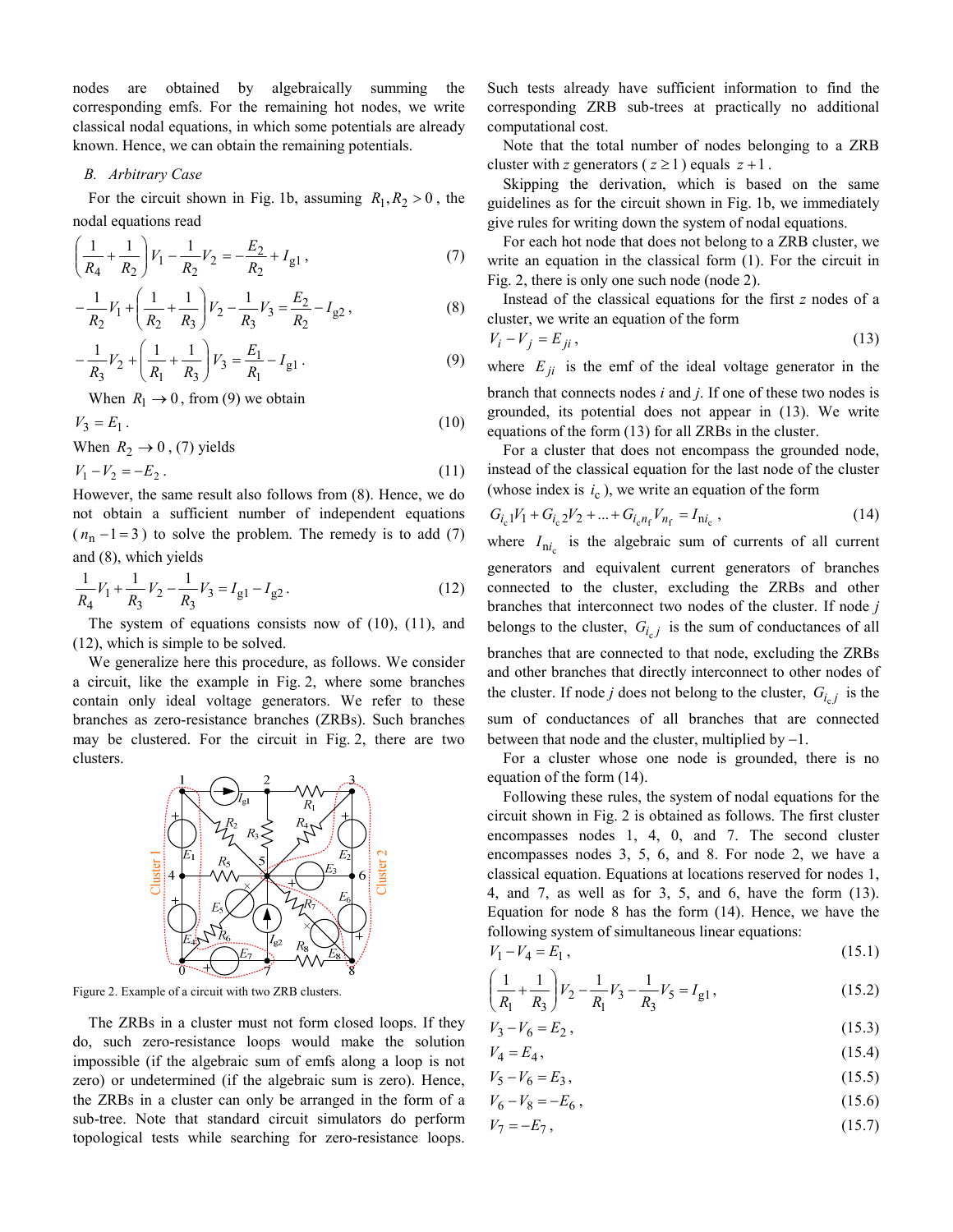nodes are obtained by algebraically summing the corresponding emfs. For the remaining hot nodes, we write classical nodal equations, in which some potentials are already known. Hence, we can obtain the remaining potentials.

#### *B. Arbitrary Case*

For the circuit shown in Fig. 1b, assuming  $R_1, R_2 > 0$ , the nodal equations read

$$
\left(\frac{1}{R_4} + \frac{1}{R_2}\right) V_1 - \frac{1}{R_2} V_2 = -\frac{E_2}{R_2} + I_{g1} ,\tag{7}
$$

$$
-\frac{1}{R_2}V_1 + \left(\frac{1}{R_2} + \frac{1}{R_3}\right)V_2 - \frac{1}{R_3}V_3 = \frac{E_2}{R_2} - I_{g2},
$$
\n(8)

$$
-\frac{1}{R_3}V_2 + \left(\frac{1}{R_1} + \frac{1}{R_3}\right)V_3 = \frac{E_1}{R_1} - I_{g1}.
$$
\n(9)

When  $R_1 \rightarrow 0$ , from (9) we obtain

$$
V_3 = E_1. \tag{10}
$$

When  $R_2 \rightarrow 0$ , (7) yields

$$
V_1 - V_2 = -E_2 \,. \tag{11}
$$

However, the same result also follows from (8). Hence, we do not obtain a sufficient number of independent equations  $(n_n - 1 = 3)$  to solve the problem. The remedy is to add (7) and (8), which yields

$$
\frac{1}{R_4}V_1 + \frac{1}{R_3}V_2 - \frac{1}{R_3}V_3 = I_{g1} - I_{g2}.
$$
 (12)

The system of equations consists now of (10), (11), and (12), which is simple to be solved.

We generalize here this procedure, as follows. We consider a circuit, like the example in Fig. 2, where some branches contain only ideal voltage generators. We refer to these branches as zero-resistance branches (ZRBs). Such branches may be clustered. For the circuit in Fig. 2, there are two clusters.



Figure 2. Example of a circuit with two ZRB clusters.

The ZRBs in a cluster must not form closed loops. If they do, such zero-resistance loops would make the solution impossible (if the algebraic sum of emfs along a loop is not zero) or undetermined (if the algebraic sum is zero). Hence, the ZRBs in a cluster can only be arranged in the form of a sub-tree. Note that standard circuit simulators do perform topological tests while searching for zero-resistance loops.

Such tests already have sufficient information to find the corresponding ZRB sub-trees at practically no additional computational cost.

Note that the total number of nodes belonging to a ZRB cluster with *z* generators ( $z \ge 1$ ) equals  $z + 1$ .

Skipping the derivation, which is based on the same guidelines as for the circuit shown in Fig. 1b, we immediately give rules for writing down the system of nodal equations.

For each hot node that does not belong to a ZRB cluster, we write an equation in the classical form (1). For the circuit in Fig. 2, there is only one such node (node 2).

Instead of the classical equations for the first *z* nodes of a cluster, we write an equation of the form

$$
V_i - V_j = E_{ji},\tag{13}
$$

where  $E_{ji}$  is the emf of the ideal voltage generator in the branch that connects nodes *i* and *j*. If one of these two nodes is grounded, its potential does not appear in (13). We write equations of the form (13) for all ZRBs in the cluster.

For a cluster that does not encompass the grounded node, instead of the classical equation for the last node of the cluster (whose index is  $i_c$ ), we write an equation of the form

$$
G_{i_{c}1}V_{1} + G_{i_{c}2}V_{2} + \dots + G_{i_{c}n_{f}}V_{n_{f}} = I_{ni_{c}} , \qquad (14)
$$

where  $I_{ni_c}$  is the algebraic sum of currents of all current generators and equivalent current generators of branches connected to the cluster, excluding the ZRBs and other branches that interconnect two nodes of the cluster. If node *j* belongs to the cluster,  $G_{i_c j}$  is the sum of conductances of all branches that are connected to that node, excluding the ZRBs and other branches that directly interconnect to other nodes of the cluster. If node *j* does not belong to the cluster,  $G_{i_c}$  is the sum of conductances of all branches that are connected between that node and the cluster, multiplied by  $-1$ .

For a cluster whose one node is grounded, there is no equation of the form (14).

Following these rules, the system of nodal equations for the circuit shown in Fig. 2 is obtained as follows. The first cluster encompasses nodes 1, 4, 0, and 7. The second cluster encompasses nodes 3, 5, 6, and 8. For node 2, we have a classical equation. Equations at locations reserved for nodes 1, 4, and 7, as well as for 3, 5, and 6, have the form (13). Equation for node 8 has the form (14). Hence, we have the following system of simultaneous linear equations:

$$
V_1 - V_4 = E_1, \t\t(15.1)
$$

$$
\left(\frac{1}{R_1} + \frac{1}{R_3}\right) V_2 - \frac{1}{R_1} V_3 - \frac{1}{R_3} V_5 = I_{g1},
$$
\n(15.2)

$$
V_3 - V_6 = E_2, \t\t(15.3)
$$

$$
V_4 = E_4, \t\t(15.4)
$$

$$
V_5 - V_6 = E_3,\tag{15.5}
$$

$$
V_6 - V_8 = -E_6 \,,\tag{15.6}
$$

$$
V_7 = -E_7,\tag{15.7}
$$